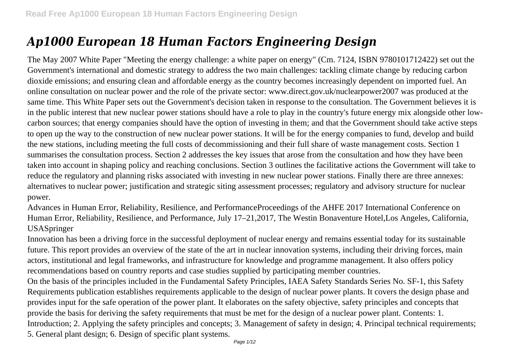# *Ap1000 European 18 Human Factors Engineering Design*

The May 2007 White Paper "Meeting the energy challenge: a white paper on energy" (Cm. 7124, ISBN 9780101712422) set out the Government's international and domestic strategy to address the two main challenges: tackling climate change by reducing carbon dioxide emissions; and ensuring clean and affordable energy as the country becomes increasingly dependent on imported fuel. An online consultation on nuclear power and the role of the private sector: www.direct.gov.uk/nuclearpower2007 was produced at the same time. This White Paper sets out the Government's decision taken in response to the consultation. The Government believes it is in the public interest that new nuclear power stations should have a role to play in the country's future energy mix alongside other lowcarbon sources; that energy companies should have the option of investing in them; and that the Government should take active steps to open up the way to the construction of new nuclear power stations. It will be for the energy companies to fund, develop and build the new stations, including meeting the full costs of decommissioning and their full share of waste management costs. Section 1 summarises the consultation process. Section 2 addresses the key issues that arose from the consultation and how they have been taken into account in shaping policy and reaching conclusions. Section 3 outlines the facilitative actions the Government will take to reduce the regulatory and planning risks associated with investing in new nuclear power stations. Finally there are three annexes: alternatives to nuclear power; justification and strategic siting assessment processes; regulatory and advisory structure for nuclear power.

Advances in Human Error, Reliability, Resilience, and PerformanceProceedings of the AHFE 2017 International Conference on Human Error, Reliability, Resilience, and Performance, July 17–21,2017, The Westin Bonaventure Hotel,Los Angeles, California, USASpringer

Innovation has been a driving force in the successful deployment of nuclear energy and remains essential today for its sustainable future. This report provides an overview of the state of the art in nuclear innovation systems, including their driving forces, main actors, institutional and legal frameworks, and infrastructure for knowledge and programme management. It also offers policy recommendations based on country reports and case studies supplied by participating member countries.

On the basis of the principles included in the Fundamental Safety Principles, IAEA Safety Standards Series No. SF-1, this Safety Requirements publication establishes requirements applicable to the design of nuclear power plants. It covers the design phase and provides input for the safe operation of the power plant. It elaborates on the safety objective, safety principles and concepts that provide the basis for deriving the safety requirements that must be met for the design of a nuclear power plant. Contents: 1. Introduction; 2. Applying the safety principles and concepts; 3. Management of safety in design; 4. Principal technical requirements; 5. General plant design; 6. Design of specific plant systems.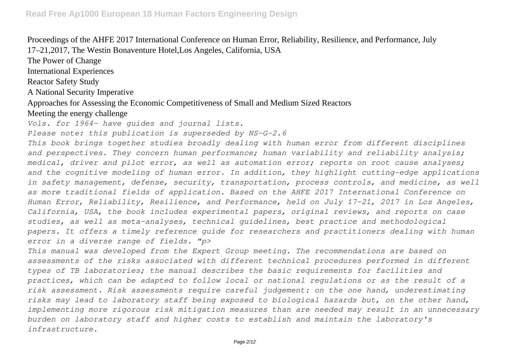Proceedings of the AHFE 2017 International Conference on Human Error, Reliability, Resilience, and Performance, July 17–21,2017, The Westin Bonaventure Hotel,Los Angeles, California, USA

The Power of Change

International Experiences

Reactor Safety Study

A National Security Imperative

Approaches for Assessing the Economic Competitiveness of Small and Medium Sized Reactors

Meeting the energy challenge

*Vols. for 1964- have guides and journal lists.*

*Please note: this publication is superseded by NS-G-2.6*

*This book brings together studies broadly dealing with human error from different disciplines and perspectives. They concern human performance; human variability and reliability analysis; medical, driver and pilot error, as well as automation error; reports on root cause analyses; and the cognitive modeling of human error. In addition, they highlight cutting-edge applications in safety management, defense, security, transportation, process controls, and medicine, as well as more traditional fields of application. Based on the AHFE 2017 International Conference on Human Error, Reliability, Resilience, and Performance, held on July 17–21, 2017 in Los Angeles, California, USA, the book includes experimental papers, original reviews, and reports on case studies, as well as meta-analyses, technical guidelines, best practice and methodological papers. It offers a timely reference guide for researchers and practitioners dealing with human error in a diverse range of fields. "p>*

*This manual was developed from the Expert Group meeting. The recommendations are based on assessments of the risks associated with different technical procedures performed in different types of TB laboratories; the manual describes the basic requirements for facilities and practices, which can be adapted to follow local or national regulations or as the result of a risk assessment. Risk assessments require careful judgement: on the one hand, underestimating risks may lead to laboratory staff being exposed to biological hazards but, on the other hand, implementing more rigorous risk mitigation measures than are needed may result in an unnecessary burden on laboratory staff and higher costs to establish and maintain the laboratory's infrastructure.*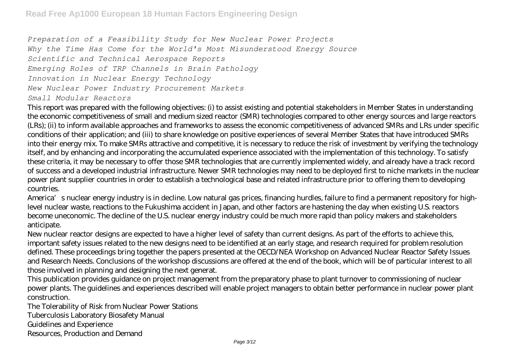*Preparation of a Feasibility Study for New Nuclear Power Projects Why the Time Has Come for the World's Most Misunderstood Energy Source Scientific and Technical Aerospace Reports Emerging Roles of TRP Channels in Brain Pathology Innovation in Nuclear Energy Technology New Nuclear Power Industry Procurement Markets Small Modular Reactors*

This report was prepared with the following objectives: (i) to assist existing and potential stakeholders in Member States in understanding the economic competitiveness of small and medium sized reactor (SMR) technologies compared to other energy sources and large reactors (LRs); (ii) to inform available approaches and frameworks to assess the economic competitiveness of advanced SMRs and LRs under specific conditions of their application; and (iii) to share knowledge on positive experiences of several Member States that have introduced SMRs into their energy mix. To make SMRs attractive and competitive, it is necessary to reduce the risk of investment by verifying the technology itself, and by enhancing and incorporating the accumulated experience associated with the implementation of this technology. To satisfy these criteria, it may be necessary to offer those SMR technologies that are currently implemented widely, and already have a track record of success and a developed industrial infrastructure. Newer SMR technologies may need to be deployed first to niche markets in the nuclear power plant supplier countries in order to establish a technological base and related infrastructure prior to offering them to developing countries.

America's nuclear energy industry is in decline. Low natural gas prices, financing hurdles, failure to find a permanent repository for highlevel nuclear waste, reactions to the Fukushima accident in Japan, and other factors are hastening the day when existing U.S. reactors become uneconomic. The decline of the U.S. nuclear energy industry could be much more rapid than policy makers and stakeholders anticipate.

New nuclear reactor designs are expected to have a higher level of safety than current designs. As part of the efforts to achieve this, important safety issues related to the new designs need to be identified at an early stage, and research required for problem resolution defined. These proceedings bring together the papers presented at the OECD/NEA Workshop on Advanced Nuclear Reactor Safety Issues and Research Needs. Conclusions of the workshop discussions are offered at the end of the book, which will be of particular interest to all those involved in planning and designing the next generat.

This publication provides guidance on project management from the preparatory phase to plant turnover to commissioning of nuclear power plants. The guidelines and experiences described will enable project managers to obtain better performance in nuclear power plant construction.

The Tolerability of Risk from Nuclear Power Stations Tuberculosis Laboratory Biosafety Manual

Guidelines and Experience

Resources, Production and Demand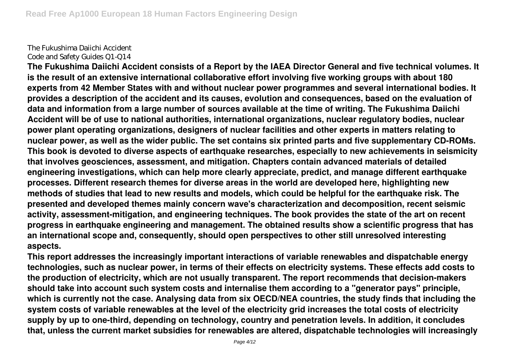The Fukushima Daiichi Accident Code and Safety Guides Q1-Q14

**The Fukushima Daiichi Accident consists of a Report by the IAEA Director General and five technical volumes. It is the result of an extensive international collaborative effort involving five working groups with about 180 experts from 42 Member States with and without nuclear power programmes and several international bodies. It provides a description of the accident and its causes, evolution and consequences, based on the evaluation of data and information from a large number of sources available at the time of writing. The Fukushima Daiichi Accident will be of use to national authorities, international organizations, nuclear regulatory bodies, nuclear power plant operating organizations, designers of nuclear facilities and other experts in matters relating to nuclear power, as well as the wider public. The set contains six printed parts and five supplementary CD-ROMs. This book is devoted to diverse aspects of earthquake researches, especially to new achievements in seismicity that involves geosciences, assessment, and mitigation. Chapters contain advanced materials of detailed engineering investigations, which can help more clearly appreciate, predict, and manage different earthquake processes. Different research themes for diverse areas in the world are developed here, highlighting new methods of studies that lead to new results and models, which could be helpful for the earthquake risk. The presented and developed themes mainly concern wave's characterization and decomposition, recent seismic activity, assessment-mitigation, and engineering techniques. The book provides the state of the art on recent progress in earthquake engineering and management. The obtained results show a scientific progress that has an international scope and, consequently, should open perspectives to other still unresolved interesting aspects.**

**This report addresses the increasingly important interactions of variable renewables and dispatchable energy technologies, such as nuclear power, in terms of their effects on electricity systems. These effects add costs to the production of electricity, which are not usually transparent. The report recommends that decision-makers should take into account such system costs and internalise them according to a "generator pays" principle, which is currently not the case. Analysing data from six OECD/NEA countries, the study finds that including the system costs of variable renewables at the level of the electricity grid increases the total costs of electricity supply by up to one-third, depending on technology, country and penetration levels. In addition, it concludes that, unless the current market subsidies for renewables are altered, dispatchable technologies will increasingly**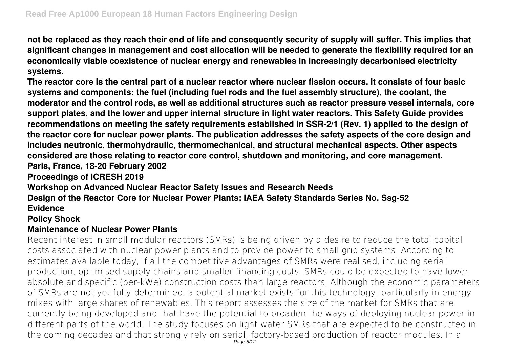**not be replaced as they reach their end of life and consequently security of supply will suffer. This implies that significant changes in management and cost allocation will be needed to generate the flexibility required for an economically viable coexistence of nuclear energy and renewables in increasingly decarbonised electricity systems.**

**The reactor core is the central part of a nuclear reactor where nuclear fission occurs. It consists of four basic systems and components: the fuel (including fuel rods and the fuel assembly structure), the coolant, the moderator and the control rods, as well as additional structures such as reactor pressure vessel internals, core support plates, and the lower and upper internal structure in light water reactors. This Safety Guide provides recommendations on meeting the safety requirements established in SSR-2/1 (Rev. 1) applied to the design of the reactor core for nuclear power plants. The publication addresses the safety aspects of the core design and includes neutronic, thermohydraulic, thermomechanical, and structural mechanical aspects. Other aspects considered are those relating to reactor core control, shutdown and monitoring, and core management. Paris, France, 18-20 February 2002**

**Proceedings of ICRESH 2019**

**Workshop on Advanced Nuclear Reactor Safety Issues and Research Needs**

**Design of the Reactor Core for Nuclear Power Plants: IAEA Safety Standards Series No. Ssg-52 Evidence**

**Policy Shock**

## **Maintenance of Nuclear Power Plants**

Recent interest in small modular reactors (SMRs) is being driven by a desire to reduce the total capital costs associated with nuclear power plants and to provide power to small grid systems. According to estimates available today, if all the competitive advantages of SMRs were realised, including serial production, optimised supply chains and smaller financing costs, SMRs could be expected to have lower absolute and specific (per-kWe) construction costs than large reactors. Although the economic parameters of SMRs are not yet fully determined, a potential market exists for this technology, particularly in energy mixes with large shares of renewables. This report assesses the size of the market for SMRs that are currently being developed and that have the potential to broaden the ways of deploying nuclear power in different parts of the world. The study focuses on light water SMRs that are expected to be constructed in the coming decades and that strongly rely on serial, factory-based production of reactor modules. In a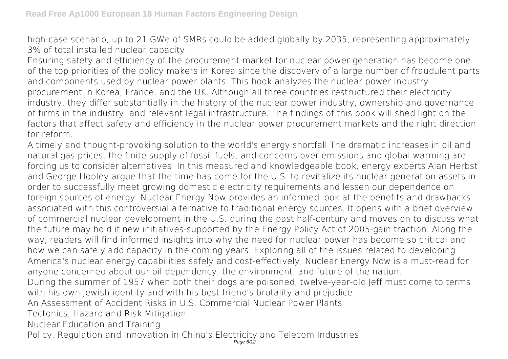high-case scenario, up to 21 GWe of SMRs could be added globally by 2035, representing approximately 3% of total installed nuclear capacity.

Ensuring safety and efficiency of the procurement market for nuclear power generation has become one of the top priorities of the policy makers in Korea since the discovery of a large number of fraudulent parts and components used by nuclear power plants. This book analyzes the nuclear power industry procurement in Korea, France, and the UK. Although all three countries restructured their electricity industry, they differ substantially in the history of the nuclear power industry, ownership and governance of firms in the industry, and relevant legal infrastructure. The findings of this book will shed light on the factors that affect safety and efficiency in the nuclear power procurement markets and the right direction for reform.

A timely and thought-provoking solution to the world's energy shortfall The dramatic increases in oil and natural gas prices, the finite supply of fossil fuels, and concerns over emissions and global warming are forcing us to consider alternatives. In this measured and knowledgeable book, energy experts Alan Herbst and George Hopley argue that the time has come for the U.S. to revitalize its nuclear generation assets in order to successfully meet growing domestic electricity requirements and lessen our dependence on foreign sources of energy. Nuclear Energy Now provides an informed look at the benefits and drawbacks associated with this controversial alternative to traditional energy sources. It opens with a brief overview of commercial nuclear development in the U.S. during the past half-century and moves on to discuss what the future may hold if new initiatives-supported by the Energy Policy Act of 2005-gain traction. Along the way, readers will find informed insights into why the need for nuclear power has become so critical and how we can safely add capacity in the coming years. Exploring all of the issues related to developing America's nuclear energy capabilities safely and cost-effectively, Nuclear Energy Now is a must-read for anyone concerned about our oil dependency, the environment, and future of the nation. During the summer of 1957 when both their dogs are poisoned, twelve-year-old Jeff must come to terms with his own Jewish identity and with his best friend's brutality and prejudice. An Assessment of Accident Risks in U.S. Commercial Nuclear Power Plants Tectonics, Hazard and Risk Mitigation

Nuclear Education and Training

Policy, Regulation and Innovation in China's Electricity and Telecom Industries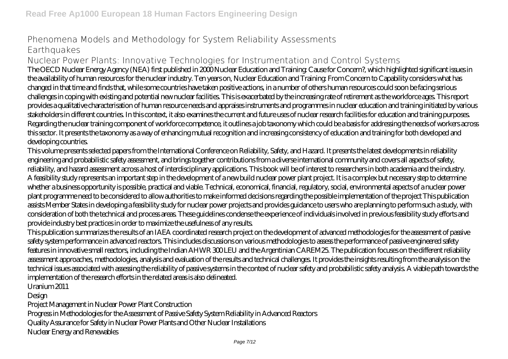# Phenomena Models and Methodology for System Reliability Assessments **Earthquakes**

## Nuclear Power Plants: Innovative Technologies for Instrumentation and Control Systems

The OECD Nuclear Energy Agency (NEA) first published in 2000 Nuclear Education and Training: Cause for Concern?, which highlighted significant issues in the availability of human resources for the nuclear industry. Ten years on, Nuclear Education and Training: From Concern to Capability considers what has changed in that time and finds that, while some countries have taken positive actions, in a number of others human resources could soon be facing serious challenges in coping with existing and potential new nuclear facilities. This is exacerbated by the increasing rate of retirement as the workforce ages. This report provides a qualitative characterisation of human resource needs and appraises instruments and programmes in nuclear education and training initiated by various stakeholders in different countries. In this context, it also examines the current and future uses of nuclear research facilities for education and training purposes. Regarding the nuclear training component of workforce competence, it outlines a job taxonomy which could be a basis for addressing the needs of workers across this sector. It presents the taxonomy as a way of enhancing mutual recognition and increasing consistency of education and training for both developed and developing countries.

This volume presents selected papers from the International Conference on Reliability, Safety, and Hazard. It presents the latest developments in reliability engineering and probabilistic safety assessment, and brings together contributions from a diverse international community and covers all aspects of safety, reliability, and hazard assessment across a host of interdisciplinary applications. This book will be of interest to researchers in both academia and the industry. A feasibility study represents an important step in the development of a new build nuclear power plant project. It is a complex but necessary step to determine whether a business opportunity is possible, practical and viable. Technical, economical, financial, regulatory, social, environmental aspects of a nuclear power plant programme need to be considered to allow authorities to make informed decisions regarding the possible implementation of the project This publication assists Member States in developing a feasibility study for nuclear power projects and provides guidance to users who are planning to perform such a study, with consideration of both the technical and process areas. These guidelines condense the experience of individuals involved in previous feasibility study efforts and provide industry best practices in order to maximize the usefulness of any results.

This publication summarizes the results of an IAEA coordinated research project on the development of advanced methodologies for the assessment of passive safety system performance in advanced reactors. This includes discussions on various methodologies to assess the performance of passive engineered safety features in innovative small reactors, including the Indian AHWR 300 LEU and the Argentinian CAREM25. The publication focuses on the different reliability assessment approaches, methodologies, analysis and evaluation of the results and technical challenges. It provides the insights resulting from the analysis on the technical issues associated with assessing the reliability of passive systems in the context of nuclear safety and probabilistic safety analysis. A viable path towards the implementation of the research efforts in the related areas is also delineated.

Uranium 2011

Design

Project Management in Nuclear Power Plant Construction

Progress in Methodologies for the Assessment of Passive Safety System Reliability in Advanced Reactors

Quality Assurance for Safety in Nuclear Power Plants and Other Nuclear Installations

Nuclear Energy and Renewables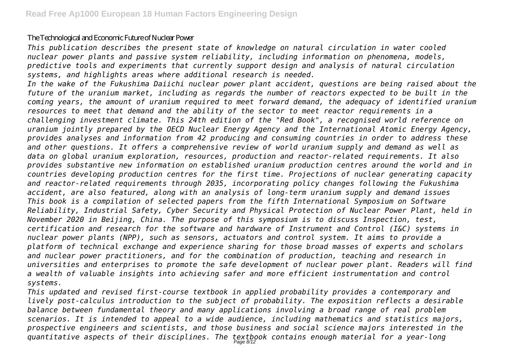#### The Technological and Economic Future of Nuclear Power

*This publication describes the present state of knowledge on natural circulation in water cooled nuclear power plants and passive system reliability, including information on phenomena, models, predictive tools and experiments that currently support design and analysis of natural circulation systems, and highlights areas where additional research is needed.*

*In the wake of the Fukushima Daiichi nuclear power plant accident, questions are being raised about the future of the uranium market, including as regards the number of reactors expected to be built in the coming years, the amount of uranium required to meet forward demand, the adequacy of identified uranium resources to meet that demand and the ability of the sector to meet reactor requirements in a challenging investment climate. This 24th edition of the "Red Book", a recognised world reference on uranium jointly prepared by the OECD Nuclear Energy Agency and the International Atomic Energy Agency, provides analyses and information from 42 producing and consuming countries in order to address these and other questions. It offers a comprehensive review of world uranium supply and demand as well as data on global uranium exploration, resources, production and reactor-related requirements. It also provides substantive new information on established uranium production centres around the world and in countries developing production centres for the first time. Projections of nuclear generating capacity and reactor-related requirements through 2035, incorporating policy changes following the Fukushima accident, are also featured, along with an analysis of long-term uranium supply and demand issues This book is a compilation of selected papers from the fifth International Symposium on Software Reliability, Industrial Safety, Cyber Security and Physical Protection of Nuclear Power Plant, held in November 2020 in Beijing, China. The purpose of this symposium is to discuss Inspection, test, certification and research for the software and hardware of Instrument and Control (I&C) systems in nuclear power plants (NPP), such as sensors, actuators and control system. It aims to provide a platform of technical exchange and experience sharing for those broad masses of experts and scholars and nuclear power practitioners, and for the combination of production, teaching and research in universities and enterprises to promote the safe development of nuclear power plant. Readers will find a wealth of valuable insights into achieving safer and more efficient instrumentation and control systems.*

*This updated and revised first-course textbook in applied probability provides a contemporary and lively post-calculus introduction to the subject of probability. The exposition reflects a desirable balance between fundamental theory and many applications involving a broad range of real problem scenarios. It is intended to appeal to a wide audience, including mathematics and statistics majors, prospective engineers and scientists, and those business and social science majors interested in the quantitative aspects of their disciplines. The textbook contains enough material for a year-long* Page 8/12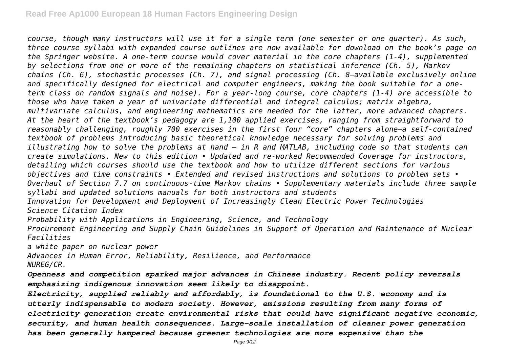*course, though many instructors will use it for a single term (one semester or one quarter). As such, three course syllabi with expanded course outlines are now available for download on the book's page on the Springer website. A one-term course would cover material in the core chapters (1-4), supplemented by selections from one or more of the remaining chapters on statistical inference (Ch. 5), Markov chains (Ch. 6), stochastic processes (Ch. 7), and signal processing (Ch. 8—available exclusively online and specifically designed for electrical and computer engineers, making the book suitable for a oneterm class on random signals and noise). For a year-long course, core chapters (1-4) are accessible to those who have taken a year of univariate differential and integral calculus; matrix algebra, multivariate calculus, and engineering mathematics are needed for the latter, more advanced chapters. At the heart of the textbook's pedagogy are 1,100 applied exercises, ranging from straightforward to reasonably challenging, roughly 700 exercises in the first four "core" chapters alone—a self-contained textbook of problems introducing basic theoretical knowledge necessary for solving problems and illustrating how to solve the problems at hand – in R and MATLAB, including code so that students can create simulations. New to this edition • Updated and re-worked Recommended Coverage for instructors, detailing which courses should use the textbook and how to utilize different sections for various objectives and time constraints • Extended and revised instructions and solutions to problem sets • Overhaul of Section 7.7 on continuous-time Markov chains • Supplementary materials include three sample syllabi and updated solutions manuals for both instructors and students Innovation for Development and Deployment of Increasingly Clean Electric Power Technologies*

*Science Citation Index*

*Probability with Applications in Engineering, Science, and Technology*

*Procurement Engineering and Supply Chain Guidelines in Support of Operation and Maintenance of Nuclear Facilities*

*a white paper on nuclear power*

*Advances in Human Error, Reliability, Resilience, and Performance NUREG/CR.*

*Openness and competition sparked major advances in Chinese industry. Recent policy reversals emphasizing indigenous innovation seem likely to disappoint.*

*Electricity, supplied reliably and affordably, is foundational to the U.S. economy and is utterly indispensable to modern society. However, emissions resulting from many forms of electricity generation create environmental risks that could have significant negative economic, security, and human health consequences. Large-scale installation of cleaner power generation has been generally hampered because greener technologies are more expensive than the*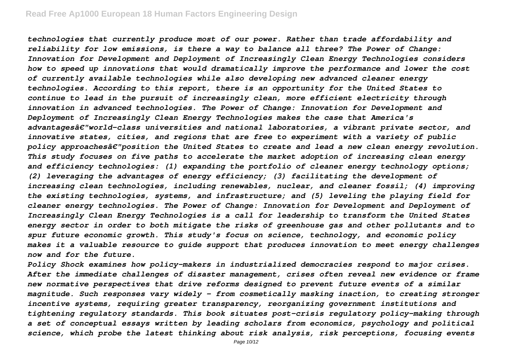*technologies that currently produce most of our power. Rather than trade affordability and reliability for low emissions, is there a way to balance all three? The Power of Change: Innovation for Development and Deployment of Increasingly Clean Energy Technologies considers how to speed up innovations that would dramatically improve the performance and lower the cost of currently available technologies while also developing new advanced cleaner energy technologies. According to this report, there is an opportunity for the United States to continue to lead in the pursuit of increasingly clean, more efficient electricity through innovation in advanced technologies. The Power of Change: Innovation for Development and Deployment of Increasingly Clean Energy Technologies makes the case that America's advantagesâ€"world-class universities and national laboratories, a vibrant private sector, and innovative states, cities, and regions that are free to experiment with a variety of public policy approachesâ€"position the United States to create and lead a new clean energy revolution. This study focuses on five paths to accelerate the market adoption of increasing clean energy and efficiency technologies: (1) expanding the portfolio of cleaner energy technology options; (2) leveraging the advantages of energy efficiency; (3) facilitating the development of increasing clean technologies, including renewables, nuclear, and cleaner fossil; (4) improving the existing technologies, systems, and infrastructure; and (5) leveling the playing field for cleaner energy technologies. The Power of Change: Innovation for Development and Deployment of Increasingly Clean Energy Technologies is a call for leadership to transform the United States energy sector in order to both mitigate the risks of greenhouse gas and other pollutants and to spur future economic growth. This study's focus on science, technology, and economic policy makes it a valuable resource to guide support that produces innovation to meet energy challenges now and for the future.*

*Policy Shock examines how policy-makers in industrialized democracies respond to major crises. After the immediate challenges of disaster management, crises often reveal new evidence or frame new normative perspectives that drive reforms designed to prevent future events of a similar magnitude. Such responses vary widely - from cosmetically masking inaction, to creating stronger incentive systems, requiring greater transparency, reorganizing government institutions and tightening regulatory standards. This book situates post-crisis regulatory policy-making through a set of conceptual essays written by leading scholars from economics, psychology and political science, which probe the latest thinking about risk analysis, risk perceptions, focusing events*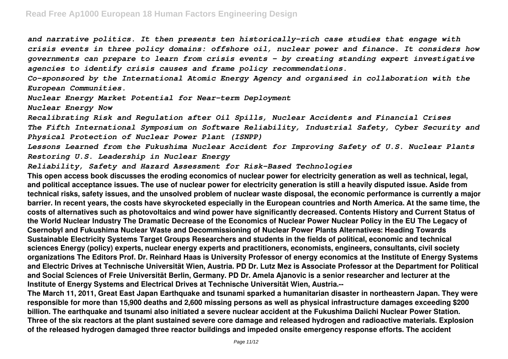*and narrative politics. It then presents ten historically-rich case studies that engage with crisis events in three policy domains: offshore oil, nuclear power and finance. It considers how governments can prepare to learn from crisis events - by creating standing expert investigative agencies to identify crisis causes and frame policy recommendations.*

*Co-sponsored by the International Atomic Energy Agency and organised in collaboration with the European Communities.*

*Nuclear Energy Market Potential for Near-term Deployment*

*Nuclear Energy Now*

*Recalibrating Risk and Regulation after Oil Spills, Nuclear Accidents and Financial Crises The Fifth International Symposium on Software Reliability, Industrial Safety, Cyber Security and Physical Protection of Nuclear Power Plant (ISNPP)*

*Lessons Learned from the Fukushima Nuclear Accident for Improving Safety of U.S. Nuclear Plants Restoring U.S. Leadership in Nuclear Energy*

*Reliability, Safety and Hazard Assessment for Risk-Based Technologies*

**This open access book discusses the eroding economics of nuclear power for electricity generation as well as technical, legal, and political acceptance issues. The use of nuclear power for electricity generation is still a heavily disputed issue. Aside from technical risks, safety issues, and the unsolved problem of nuclear waste disposal, the economic performance is currently a major barrier. In recent years, the costs have skyrocketed especially in the European countries and North America. At the same time, the costs of alternatives such as photovoltaics and wind power have significantly decreased. Contents History and Current Status of the World Nuclear Industry The Dramatic Decrease of the Economics of Nuclear Power Nuclear Policy in the EU The Legacy of Csernobyl and Fukushima Nuclear Waste and Decommissioning of Nuclear Power Plants Alternatives: Heading Towards Sustainable Electricity Systems Target Groups Researchers and students in the fields of political, economic and technical sciences Energy (policy) experts, nuclear energy experts and practitioners, economists, engineers, consultants, civil society organizations The Editors Prof. Dr. Reinhard Haas is University Professor of energy economics at the Institute of Energy Systems and Electric Drives at Technische Universität Wien, Austria. PD Dr. Lutz Mez is Associate Professor at the Department for Political and Social Sciences of Freie Universität Berlin, Germany. PD Dr. Amela Ajanovic is a senior researcher and lecturer at the Institute of Energy Systems and Electrical Drives at Technische Universität Wien, Austria.--**

**The March 11, 2011, Great East Japan Earthquake and tsunami sparked a humanitarian disaster in northeastern Japan. They were responsible for more than 15,900 deaths and 2,600 missing persons as well as physical infrastructure damages exceeding \$200 billion. The earthquake and tsunami also initiated a severe nuclear accident at the Fukushima Daiichi Nuclear Power Station. Three of the six reactors at the plant sustained severe core damage and released hydrogen and radioactive materials. Explosion of the released hydrogen damaged three reactor buildings and impeded onsite emergency response efforts. The accident**